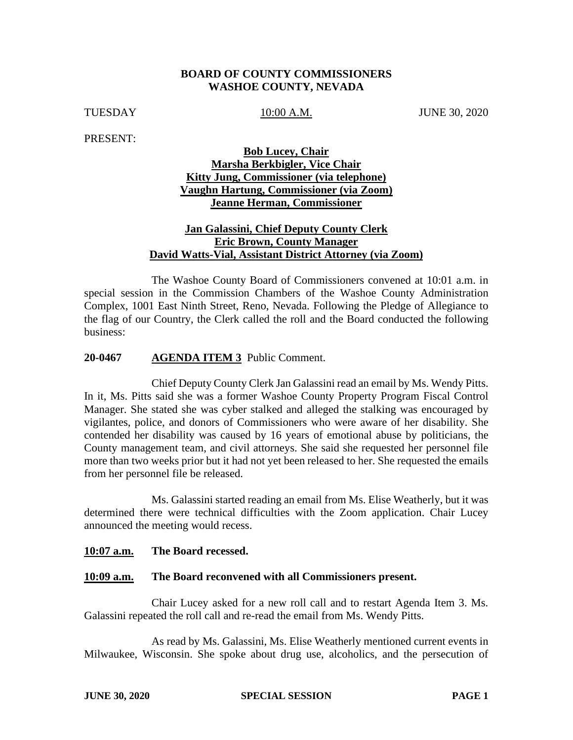## **BOARD OF COUNTY COMMISSIONERS WASHOE COUNTY, NEVADA**

TUESDAY 10:00 A.M. JUNE 30, 2020

PRESENT:

## **Bob Lucey, Chair Marsha Berkbigler, Vice Chair Kitty Jung, Commissioner (via telephone) Vaughn Hartung, Commissioner (via Zoom) Jeanne Herman, Commissioner**

## **Jan Galassini, Chief Deputy County Clerk Eric Brown, County Manager David Watts-Vial, Assistant District Attorney (via Zoom)**

The Washoe County Board of Commissioners convened at 10:01 a.m. in special session in the Commission Chambers of the Washoe County Administration Complex, 1001 East Ninth Street, Reno, Nevada. Following the Pledge of Allegiance to the flag of our Country, the Clerk called the roll and the Board conducted the following business:

### **20-0467 AGENDA ITEM 3** Public Comment.

Chief Deputy County Clerk Jan Galassini read an email by Ms. Wendy Pitts. In it, Ms. Pitts said she was a former Washoe County Property Program Fiscal Control Manager. She stated she was cyber stalked and alleged the stalking was encouraged by vigilantes, police, and donors of Commissioners who were aware of her disability. She contended her disability was caused by 16 years of emotional abuse by politicians, the County management team, and civil attorneys. She said she requested her personnel file more than two weeks prior but it had not yet been released to her. She requested the emails from her personnel file be released.

Ms. Galassini started reading an email from Ms. Elise Weatherly, but it was determined there were technical difficulties with the Zoom application. Chair Lucey announced the meeting would recess.

#### **10:07 a.m. The Board recessed.**

#### **10:09 a.m. The Board reconvened with all Commissioners present.**

Chair Lucey asked for a new roll call and to restart Agenda Item 3. Ms. Galassini repeated the roll call and re-read the email from Ms. Wendy Pitts.

As read by Ms. Galassini, Ms. Elise Weatherly mentioned current events in Milwaukee, Wisconsin. She spoke about drug use, alcoholics, and the persecution of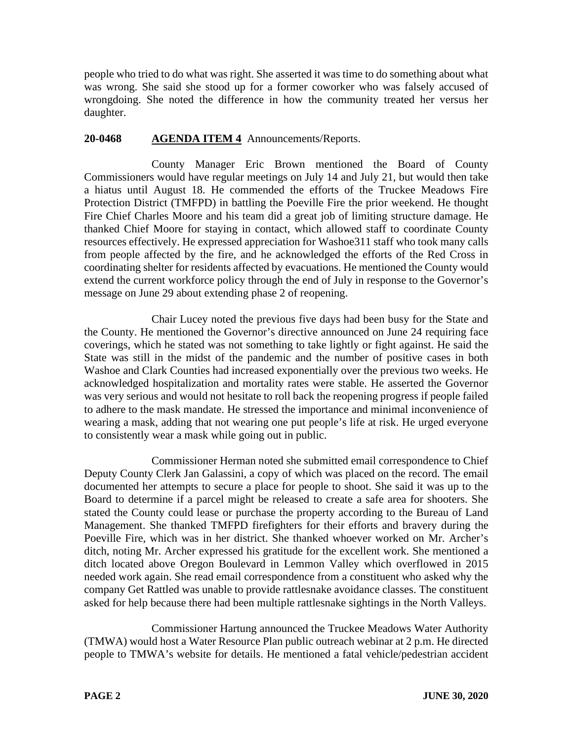people who tried to do what was right. She asserted it was time to do something about what was wrong. She said she stood up for a former coworker who was falsely accused of wrongdoing. She noted the difference in how the community treated her versus her daughter.

# **20-0468 AGENDA ITEM 4** Announcements/Reports.

County Manager Eric Brown mentioned the Board of County Commissioners would have regular meetings on July 14 and July 21, but would then take a hiatus until August 18. He commended the efforts of the Truckee Meadows Fire Protection District (TMFPD) in battling the Poeville Fire the prior weekend. He thought Fire Chief Charles Moore and his team did a great job of limiting structure damage. He thanked Chief Moore for staying in contact, which allowed staff to coordinate County resources effectively. He expressed appreciation for Washoe311 staff who took many calls from people affected by the fire, and he acknowledged the efforts of the Red Cross in coordinating shelter for residents affected by evacuations. He mentioned the County would extend the current workforce policy through the end of July in response to the Governor's message on June 29 about extending phase 2 of reopening.

Chair Lucey noted the previous five days had been busy for the State and the County. He mentioned the Governor's directive announced on June 24 requiring face coverings, which he stated was not something to take lightly or fight against. He said the State was still in the midst of the pandemic and the number of positive cases in both Washoe and Clark Counties had increased exponentially over the previous two weeks. He acknowledged hospitalization and mortality rates were stable. He asserted the Governor was very serious and would not hesitate to roll back the reopening progress if people failed to adhere to the mask mandate. He stressed the importance and minimal inconvenience of wearing a mask, adding that not wearing one put people's life at risk. He urged everyone to consistently wear a mask while going out in public.

Commissioner Herman noted she submitted email correspondence to Chief Deputy County Clerk Jan Galassini, a copy of which was placed on the record. The email documented her attempts to secure a place for people to shoot. She said it was up to the Board to determine if a parcel might be released to create a safe area for shooters. She stated the County could lease or purchase the property according to the Bureau of Land Management. She thanked TMFPD firefighters for their efforts and bravery during the Poeville Fire, which was in her district. She thanked whoever worked on Mr. Archer's ditch, noting Mr. Archer expressed his gratitude for the excellent work. She mentioned a ditch located above Oregon Boulevard in Lemmon Valley which overflowed in 2015 needed work again. She read email correspondence from a constituent who asked why the company Get Rattled was unable to provide rattlesnake avoidance classes. The constituent asked for help because there had been multiple rattlesnake sightings in the North Valleys.

Commissioner Hartung announced the Truckee Meadows Water Authority (TMWA) would host a Water Resource Plan public outreach webinar at 2 p.m. He directed people to TMWA's website for details. He mentioned a fatal vehicle/pedestrian accident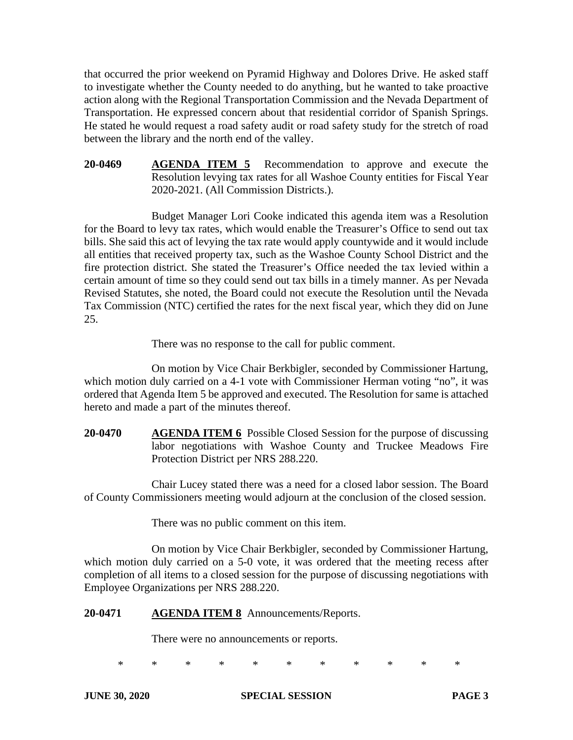that occurred the prior weekend on Pyramid Highway and Dolores Drive. He asked staff to investigate whether the County needed to do anything, but he wanted to take proactive action along with the Regional Transportation Commission and the Nevada Department of Transportation. He expressed concern about that residential corridor of Spanish Springs. He stated he would request a road safety audit or road safety study for the stretch of road between the library and the north end of the valley.

**20-0469 AGENDA ITEM 5** Recommendation to approve and execute the Resolution levying tax rates for all Washoe County entities for Fiscal Year 2020-2021. (All Commission Districts.).

Budget Manager Lori Cooke indicated this agenda item was a Resolution for the Board to levy tax rates, which would enable the Treasurer's Office to send out tax bills. She said this act of levying the tax rate would apply countywide and it would include all entities that received property tax, such as the Washoe County School District and the fire protection district. She stated the Treasurer's Office needed the tax levied within a certain amount of time so they could send out tax bills in a timely manner. As per Nevada Revised Statutes, she noted, the Board could not execute the Resolution until the Nevada Tax Commission (NTC) certified the rates for the next fiscal year, which they did on June 25.

There was no response to the call for public comment.

On motion by Vice Chair Berkbigler, seconded by Commissioner Hartung, which motion duly carried on a 4-1 vote with Commissioner Herman voting "no", it was ordered that Agenda Item 5 be approved and executed. The Resolution for same is attached hereto and made a part of the minutes thereof.

**20-0470 AGENDA ITEM 6** Possible Closed Session for the purpose of discussing labor negotiations with Washoe County and Truckee Meadows Fire Protection District per NRS 288.220.

Chair Lucey stated there was a need for a closed labor session. The Board of County Commissioners meeting would adjourn at the conclusion of the closed session.

There was no public comment on this item.

On motion by Vice Chair Berkbigler, seconded by Commissioner Hartung, which motion duly carried on a 5-0 vote, it was ordered that the meeting recess after completion of all items to a closed session for the purpose of discussing negotiations with Employee Organizations per NRS 288.220.

## **20-0471 AGENDA ITEM 8** Announcements/Reports.

There were no announcements or reports.

\* \* \* \* \* \* \* \* \* \* \*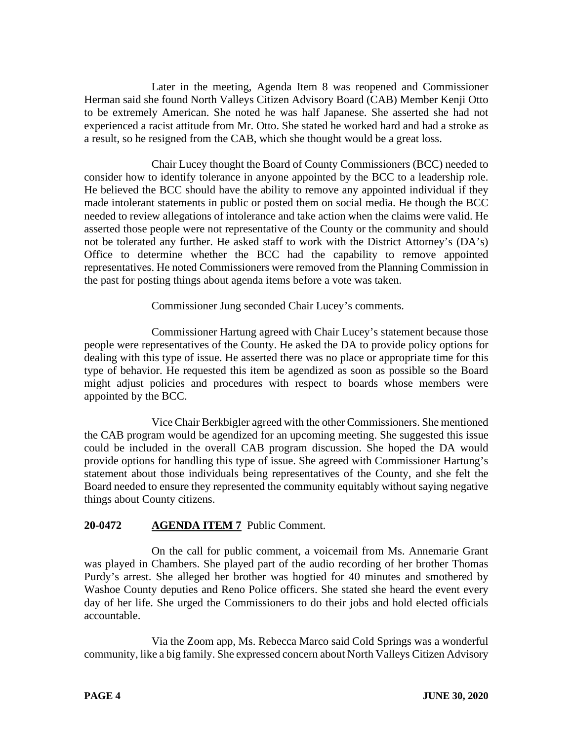Later in the meeting, Agenda Item 8 was reopened and Commissioner Herman said she found North Valleys Citizen Advisory Board (CAB) Member Kenji Otto to be extremely American. She noted he was half Japanese. She asserted she had not experienced a racist attitude from Mr. Otto. She stated he worked hard and had a stroke as a result, so he resigned from the CAB, which she thought would be a great loss.

Chair Lucey thought the Board of County Commissioners (BCC) needed to consider how to identify tolerance in anyone appointed by the BCC to a leadership role. He believed the BCC should have the ability to remove any appointed individual if they made intolerant statements in public or posted them on social media. He though the BCC needed to review allegations of intolerance and take action when the claims were valid. He asserted those people were not representative of the County or the community and should not be tolerated any further. He asked staff to work with the District Attorney's (DA's) Office to determine whether the BCC had the capability to remove appointed representatives. He noted Commissioners were removed from the Planning Commission in the past for posting things about agenda items before a vote was taken.

Commissioner Jung seconded Chair Lucey's comments.

Commissioner Hartung agreed with Chair Lucey's statement because those people were representatives of the County. He asked the DA to provide policy options for dealing with this type of issue. He asserted there was no place or appropriate time for this type of behavior. He requested this item be agendized as soon as possible so the Board might adjust policies and procedures with respect to boards whose members were appointed by the BCC.

Vice Chair Berkbigler agreed with the other Commissioners. She mentioned the CAB program would be agendized for an upcoming meeting. She suggested this issue could be included in the overall CAB program discussion. She hoped the DA would provide options for handling this type of issue. She agreed with Commissioner Hartung's statement about those individuals being representatives of the County, and she felt the Board needed to ensure they represented the community equitably without saying negative things about County citizens.

# **20-0472 AGENDA ITEM 7** Public Comment.

On the call for public comment, a voicemail from Ms. Annemarie Grant was played in Chambers. She played part of the audio recording of her brother Thomas Purdy's arrest. She alleged her brother was hogtied for 40 minutes and smothered by Washoe County deputies and Reno Police officers. She stated she heard the event every day of her life. She urged the Commissioners to do their jobs and hold elected officials accountable.

Via the Zoom app, Ms. Rebecca Marco said Cold Springs was a wonderful community, like a big family. She expressed concern about North Valleys Citizen Advisory